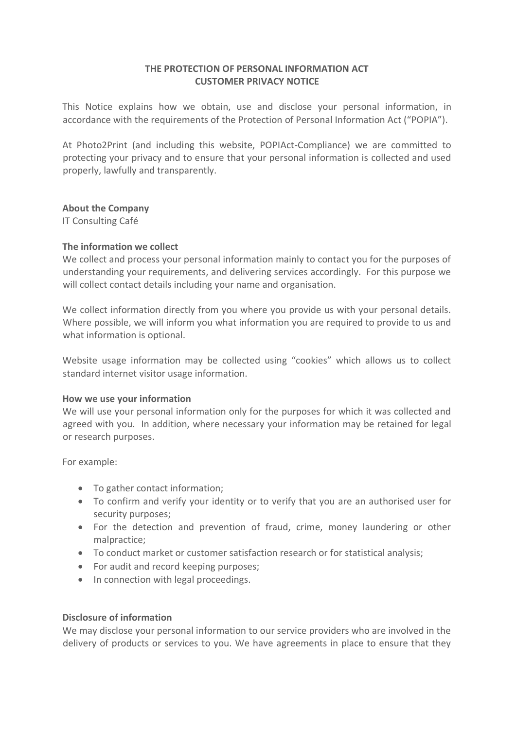# **THE PROTECTION OF PERSONAL INFORMATION ACT CUSTOMER PRIVACY NOTICE**

This Notice explains how we obtain, use and disclose your personal information, in accordance with the requirements of the Protection of Personal Information Act ("POPIA").

At Photo2Print (and including this website, POPIAct-Compliance) we are committed to protecting your privacy and to ensure that your personal information is collected and used properly, lawfully and transparently.

### **About the Company**

IT Consulting Café

### **The information we collect**

We collect and process your personal information mainly to contact you for the purposes of understanding your requirements, and delivering services accordingly. For this purpose we will collect contact details including your name and organisation.

We collect information directly from you where you provide us with your personal details. Where possible, we will inform you what information you are required to provide to us and what information is optional.

Website usage information may be collected using "cookies" which allows us to collect standard internet visitor usage information.

### **How we use your information**

We will use your personal information only for the purposes for which it was collected and agreed with you. In addition, where necessary your information may be retained for legal or research purposes.

For example:

- To gather contact information;
- To confirm and verify your identity or to verify that you are an authorised user for security purposes;
- For the detection and prevention of fraud, crime, money laundering or other malpractice;
- To conduct market or customer satisfaction research or for statistical analysis;
- For audit and record keeping purposes;
- In connection with legal proceedings.

### **Disclosure of information**

We may disclose your personal information to our service providers who are involved in the delivery of products or services to you. We have agreements in place to ensure that they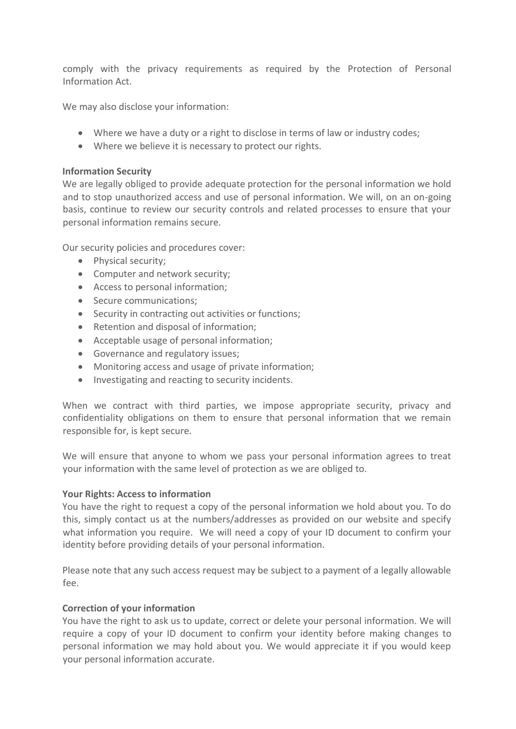comply with the privacy requirements as required by the Protection of Personal Information Act.

We may also disclose your information:

- Where we have a duty or a right to disclose in terms of law or industry codes;
- Where we believe it is necessary to protect our rights.

### **Information Security**

We are legally obliged to provide adequate protection for the personal information we hold and to stop unauthorized access and use of personal information. We will, on an on-going basis, continue to review our security controls and related processes to ensure that your personal information remains secure.

Our security policies and procedures cover:

- Physical security;
- Computer and network security;
- Access to personal information;
- Secure communications:
- Security in contracting out activities or functions;
- Retention and disposal of information;
- Acceptable usage of personal information;
- Governance and regulatory issues;
- Monitoring access and usage of private information;
- Investigating and reacting to security incidents.

When we contract with third parties, we impose appropriate security, privacy and confidentiality obligations on them to ensure that personal information that we remain responsible for, is kept secure.

We will ensure that anyone to whom we pass your personal information agrees to treat your information with the same level of protection as we are obliged to.

# **Your Rights: Access to information**

You have the right to request a copy of the personal information we hold about you. To do this, simply contact us at the numbers/addresses as provided on our website and specify what information you require. We will need a copy of your ID document to confirm your identity before providing details of your personal information.

Please note that any such access request may be subject to a payment of a legally allowable fee.

# **Correction of your information**

You have the right to ask us to update, correct or delete your personal information. We will require a copy of your ID document to confirm your identity before making changes to personal information we may hold about you. We would appreciate it if you would keep your personal information accurate.